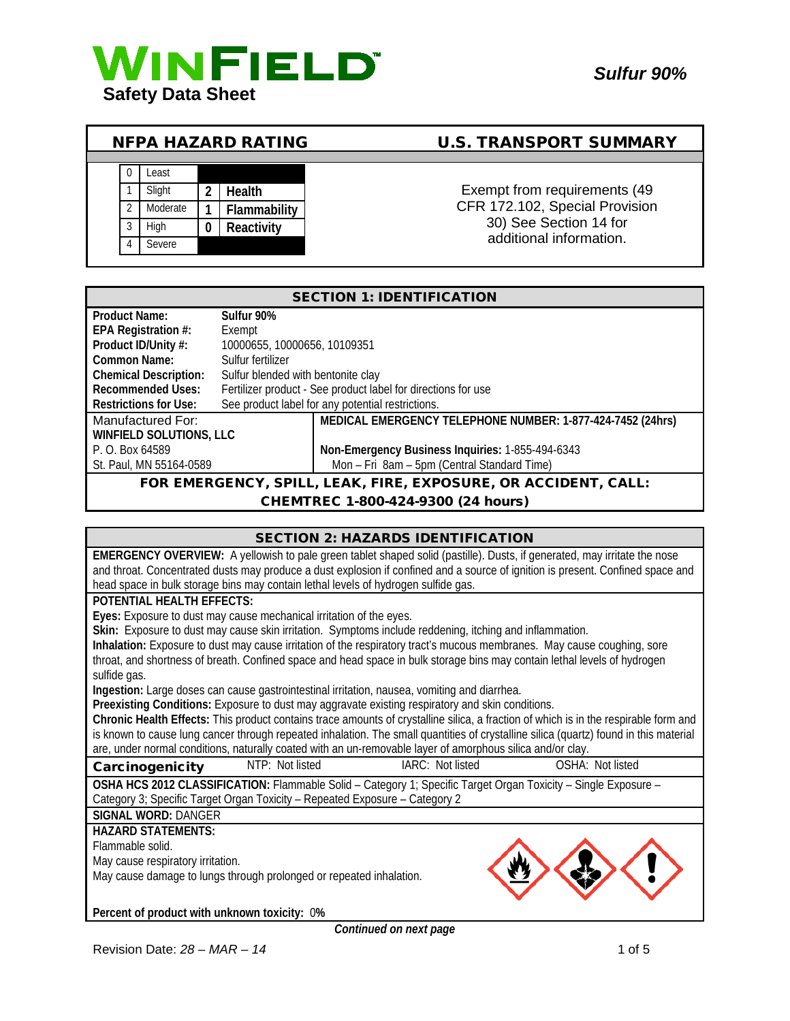

# NFPA HAZARD RATING U.S. TRANSPORT SUMMARY



1 Slight 2 Health **1 Slight 2 Health 1** Exempt from requirements (49 CFR 172.102, Special Provision 30) See Section 14 for additional information.

| <b>SECTION 1: IDENTIFICATION</b>                               |                                                               |                                                            |  |
|----------------------------------------------------------------|---------------------------------------------------------------|------------------------------------------------------------|--|
| <b>Product Name:</b>                                           | Sulfur 90%                                                    |                                                            |  |
| EPA Registration #:                                            | Exempt                                                        |                                                            |  |
| Product ID/Unity #:                                            | 10000655, 10000656, 10109351                                  |                                                            |  |
| Common Name:                                                   | Sulfur fertilizer                                             |                                                            |  |
| <b>Chemical Description:</b>                                   | Sulfur blended with bentonite clay                            |                                                            |  |
| <b>Recommended Uses:</b>                                       | Fertilizer product - See product label for directions for use |                                                            |  |
| <b>Restrictions for Use:</b>                                   | See product label for any potential restrictions.             |                                                            |  |
| Manufactured For:                                              |                                                               | MEDICAL EMERGENCY TELEPHONE NUMBER: 1-877-424-7452 (24hrs) |  |
| WINFIELD SOLUTIONS, LLC                                        |                                                               |                                                            |  |
| P. O. Box 64589                                                |                                                               | Non-Emergency Business Inquiries: 1-855-494-6343           |  |
| St. Paul, MN 55164-0589                                        |                                                               | Mon - Fri 8am - 5pm (Central Standard Time)                |  |
| FOR EMERGENCY, SPILL, LEAK, FIRE, EXPOSURE, OR ACCIDENT, CALL: |                                                               |                                                            |  |
| CHEMTREC 1-800-424-9300 (24 hours)                             |                                                               |                                                            |  |

## CHEMTREC 1-800-424-9300 (24 hours)

| <b>SECTION 2: HAZARDS IDENTIFICATION</b>                                                                                              |  |  |  |
|---------------------------------------------------------------------------------------------------------------------------------------|--|--|--|
| <b>EMERGENCY OVERVIEW:</b> A yellowish to pale green tablet shaped solid (pastille). Dusts, if generated, may irritate the nose       |  |  |  |
| and throat. Concentrated dusts may produce a dust explosion if confined and a source of ignition is present. Confined space and       |  |  |  |
| head space in bulk storage bins may contain lethal levels of hydrogen sulfide gas.                                                    |  |  |  |
| POTENTIAL HEALTH EFFECTS:                                                                                                             |  |  |  |
| Eyes: Exposure to dust may cause mechanical irritation of the eyes.                                                                   |  |  |  |
| Skin: Exposure to dust may cause skin irritation. Symptoms include reddening, itching and inflammation.                               |  |  |  |
| Inhalation: Exposure to dust may cause irritation of the respiratory tract's mucous membranes. May cause coughing, sore               |  |  |  |
| throat, and shortness of breath. Confined space and head space in bulk storage bins may contain lethal levels of hydrogen             |  |  |  |
| sulfide gas.                                                                                                                          |  |  |  |
| Ingestion: Large doses can cause gastrointestinal irritation, nausea, vomiting and diarrhea.                                          |  |  |  |
| Preexisting Conditions: Exposure to dust may aggravate existing respiratory and skin conditions.                                      |  |  |  |
| Chronic Health Effects: This product contains trace amounts of crystalline silica, a fraction of which is in the respirable form and  |  |  |  |
| is known to cause lung cancer through repeated inhalation. The small quantities of crystalline silica (quartz) found in this material |  |  |  |
| are, under normal conditions, naturally coated with an un-removable layer of amorphous silica and/or clay.                            |  |  |  |
| NTP: Not listed<br>IARC: Not listed<br>OSHA: Not listed<br>Carcinogenicity                                                            |  |  |  |
| OSHA HCS 2012 CLASSIFICATION: Flammable Solid - Category 1; Specific Target Organ Toxicity - Single Exposure -                        |  |  |  |
| Category 3; Specific Target Organ Toxicity - Repeated Exposure - Category 2                                                           |  |  |  |
| <b>SIGNAL WORD: DANGER</b>                                                                                                            |  |  |  |
| <b>HAZARD STATEMENTS:</b>                                                                                                             |  |  |  |
| Flammable solid.                                                                                                                      |  |  |  |
| May cause respiratory irritation.                                                                                                     |  |  |  |
| May cause damage to lungs through prolonged or repeated inhalation.                                                                   |  |  |  |
|                                                                                                                                       |  |  |  |
| Percent of product with unknown toxicity: 0%                                                                                          |  |  |  |
| Continued on next page                                                                                                                |  |  |  |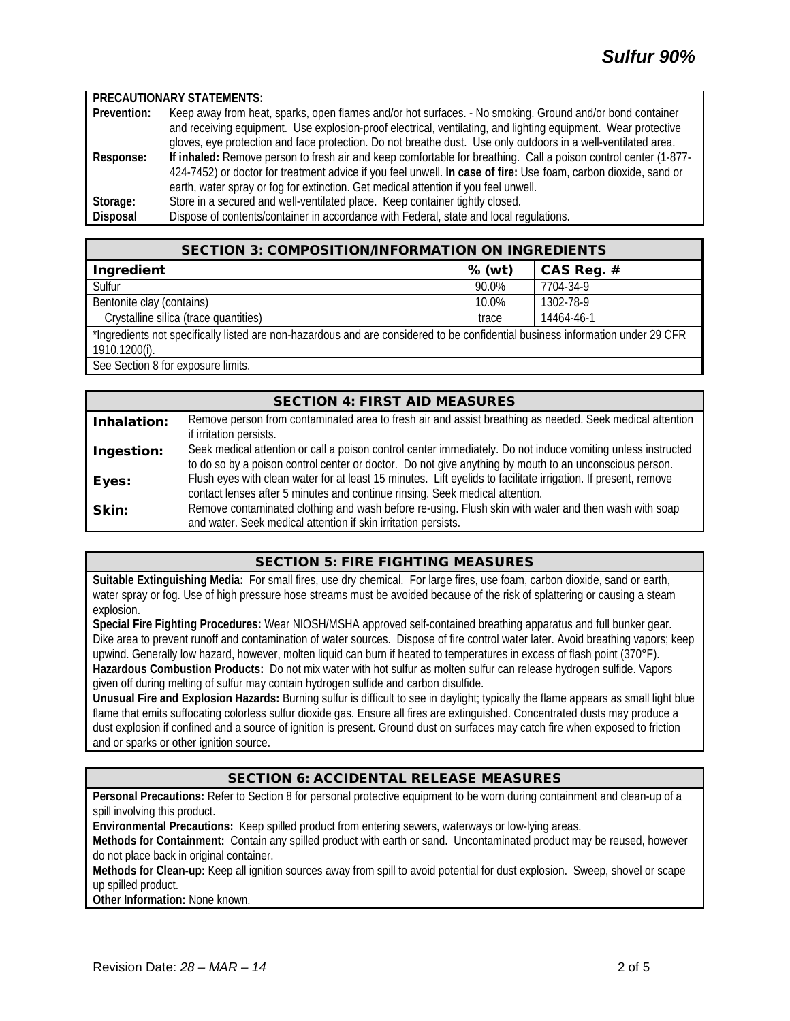#### **PRECAUTIONARY STATEMENTS:**

**Prevention:** Keep away from heat, sparks, open flames and/or hot surfaces. - No smoking. Ground and/or bond container and receiving equipment. Use explosion-proof electrical, ventilating, and lighting equipment. Wear protective gloves, eye protection and face protection. Do not breathe dust. Use only outdoors in a well-ventilated area. **Response: If inhaled:** Remove person to fresh air and keep comfortable for breathing. Call a poison control center (1-877- 424-7452) or doctor for treatment advice if you feel unwell. **In case of fire:** Use foam, carbon dioxide, sand or earth, water spray or fog for extinction. Get medical attention if you feel unwell. Storage: Store in a secured and well-ventilated place. Keep container tightly closed.<br>
Disposal Dispose of contents/container in accordance with Federal, state and local re Dispose of contents/container in accordance with Federal, state and local regulations.

| <b>SECTION 3: COMPOSITION/INFORMATION ON INGREDIENTS</b>                                                                                        |          |              |  |
|-------------------------------------------------------------------------------------------------------------------------------------------------|----------|--------------|--|
| Ingredient                                                                                                                                      | $%$ (wt) | CAS Reg. $#$ |  |
| Sulfur                                                                                                                                          | 90.0%    | 7704-34-9    |  |
| Bentonite clay (contains)                                                                                                                       | 10.0%    | 1302-78-9    |  |
| Crystalline silica (trace quantities)                                                                                                           | trace    | 14464-46-1   |  |
| *Ingredients not specifically listed are non-hazardous and are considered to be confidential business information under 29 CFR<br>1910.1200(i). |          |              |  |

See Section 8 for exposure limits.

## SECTION 4: FIRST AID MEASURES Inhalation: Remove person from contaminated area to fresh air and assist breathing as needed. Seek medical attention if irritation persists. Ingestion: Seek medical attention or call a poison control center immediately. Do not induce vomiting unless instructed to do so by a poison control center or doctor. Do not give anything by mouth to an unconscious person. Eyes: Flush eyes with clean water for at least 15 minutes. Lift eyelids to facilitate irrigation. If present, remove contact lenses after 5 minutes and continue rinsing. Seek medical attention. Skin: Remove contaminated clothing and wash before re-using. Flush skin with water and then wash with soap and water. Seek medical attention if skin irritation persists.

#### SECTION 5: FIRE FIGHTING MEASURES

**Suitable Extinguishing Media:** For small fires, use dry chemical. For large fires, use foam, carbon dioxide, sand or earth, water spray or fog. Use of high pressure hose streams must be avoided because of the risk of splattering or causing a steam explosion.

**Special Fire Fighting Procedures:** Wear NIOSH/MSHA approved self-contained breathing apparatus and full bunker gear. Dike area to prevent runoff and contamination of water sources. Dispose of fire control water later. Avoid breathing vapors; keep upwind. Generally low hazard, however, molten liquid can burn if heated to temperatures in excess of flash point (370°F). **Hazardous Combustion Products:** Do not mix water with hot sulfur as molten sulfur can release hydrogen sulfide. Vapors given off during melting of sulfur may contain hydrogen sulfide and carbon disulfide.

**Unusual Fire and Explosion Hazards:** Burning sulfur is difficult to see in daylight; typically the flame appears as small light blue flame that emits suffocating colorless sulfur dioxide gas. Ensure all fires are extinguished. Concentrated dusts may produce a dust explosion if confined and a source of ignition is present. Ground dust on surfaces may catch fire when exposed to friction and or sparks or other ignition source.

# SECTION 6: ACCIDENTAL RELEASE MEASURES

**Personal Precautions:** Refer to Section 8 for personal protective equipment to be worn during containment and clean-up of a spill involving this product.

**Environmental Precautions:** Keep spilled product from entering sewers, waterways or low-lying areas.

**Methods for Containment:** Contain any spilled product with earth or sand. Uncontaminated product may be reused, however do not place back in original container.

**Methods for Clean-up:** Keep all ignition sources away from spill to avoid potential for dust explosion. Sweep, shovel or scape up spilled product.

**Other Information:** None known.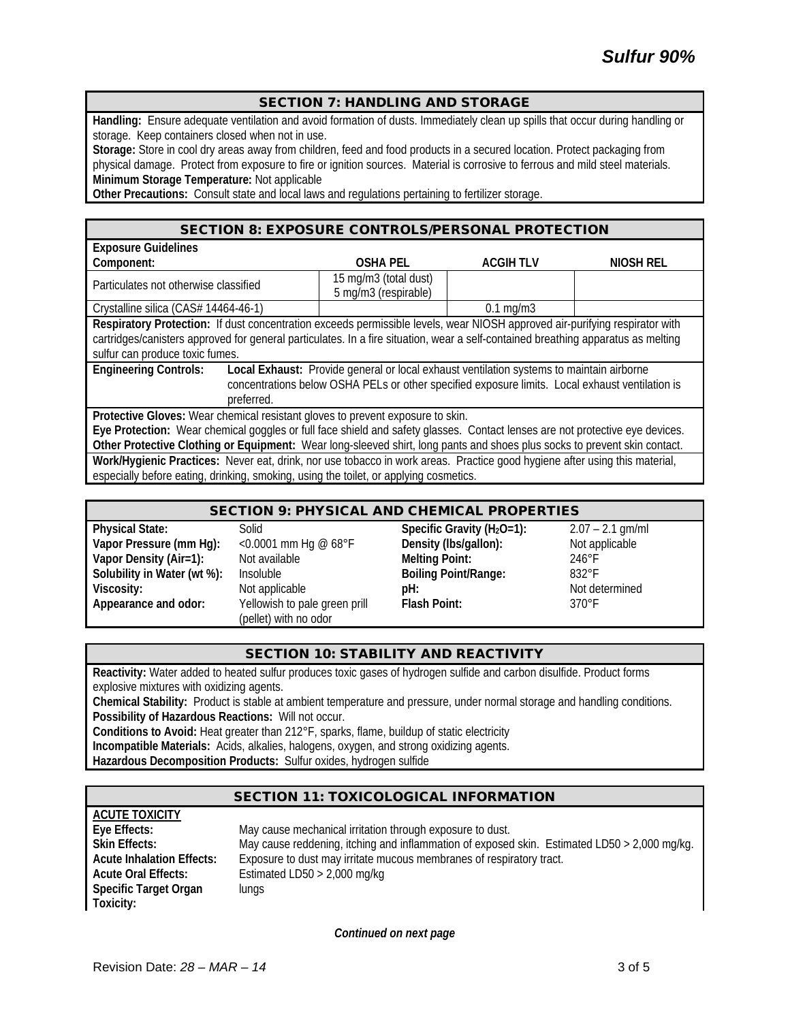#### SECTION 7: HANDLING AND STORAGE

**Handling:** Ensure adequate ventilation and avoid formation of dusts. Immediately clean up spills that occur during handling or storage. Keep containers closed when not in use.

**Storage:** Store in cool dry areas away from children, feed and food products in a secured location. Protect packaging from physical damage. Protect from exposure to fire or ignition sources. Material is corrosive to ferrous and mild steel materials. **Minimum Storage Temperature:** Not applicable

**Other Precautions:** Consult state and local laws and regulations pertaining to fertilizer storage.

#### SECTION 8: EXPOSURE CONTROLS/PERSONAL PROTECTION

| <b>Exposure Guidelines</b>                                                                                                                                                                                                                                                                          |                                               |                    |           |
|-----------------------------------------------------------------------------------------------------------------------------------------------------------------------------------------------------------------------------------------------------------------------------------------------------|-----------------------------------------------|--------------------|-----------|
| Component:                                                                                                                                                                                                                                                                                          | <b>OSHA PEL</b>                               | <b>ACGIHTLV</b>    | NIOSH REL |
| Particulates not otherwise classified                                                                                                                                                                                                                                                               | 15 mg/m3 (total dust)<br>5 mg/m3 (respirable) |                    |           |
| Crystalline silica (CAS# 14464-46-1)                                                                                                                                                                                                                                                                |                                               | $0.1 \text{ mg/m}$ |           |
| Respiratory Protection: If dust concentration exceeds permissible levels, wear NIOSH approved air-purifying respirator with<br>cartridges/canisters approved for general particulates. In a fire situation, wear a self-contained breathing apparatus as melting<br>sulfur can produce toxic fumes. |                                               |                    |           |
| <b>Engineering Controls:</b><br>Local Exhaust: Provide general or local exhaust ventilation systems to maintain airborne<br>concentrations below OSHA PELs or other specified exposure limits. Local exhaust ventilation is<br>preferred.                                                           |                                               |                    |           |
| Protective Gloves: Wear chemical resistant gloves to prevent exposure to skin.                                                                                                                                                                                                                      |                                               |                    |           |
| Eye Protection: Wear chemical goggles or full face shield and safety glasses. Contact lenses are not protective eye devices.                                                                                                                                                                        |                                               |                    |           |
| Other Protective Clothing or Equipment: Wear long-sleeved shirt, long pants and shoes plus socks to prevent skin contact.                                                                                                                                                                           |                                               |                    |           |
| Work/Hygienic Practices: Never eat, drink, nor use tobacco in work areas. Practice good hygiene after using this material,                                                                                                                                                                          |                                               |                    |           |
| especially before eating, drinking, smoking, using the toilet, or applying cosmetics.                                                                                                                                                                                                               |                                               |                    |           |

| <b>SECTION 9: PHYSICAL AND CHEMICAL PROPERTIES</b> |                                                        |                                |                    |
|----------------------------------------------------|--------------------------------------------------------|--------------------------------|--------------------|
| <b>Physical State:</b>                             | Solid                                                  | Specific Gravity ( $H_2O=1$ ): | $2.07 - 2.1$ gm/ml |
| Vapor Pressure (mm Hg):                            | <0.0001 mm Hg @ $68^{\circ}$ F                         | Density (Ibs/gallon):          | Not applicable     |
| Vapor Density (Air=1):                             | Not available                                          | <b>Melting Point:</b>          | $246^{\circ}$ F    |
| Solubility in Water (wt %):                        | Insoluble                                              | <b>Boiling Point/Range:</b>    | $832^\circ F$      |
| Viscosity:                                         | Not applicable                                         | pH:                            | Not determined     |
| Appearance and odor:                               | Yellowish to pale green prill<br>(pellet) with no odor | Flash Point:                   | $370^\circ F$      |

# SECTION 10: STABILITY AND REACTIVITY

**Reactivity:** Water added to heated sulfur produces toxic gases of hydrogen sulfide and carbon disulfide. Product forms explosive mixtures with oxidizing agents.

**Chemical Stability:** Product is stable at ambient temperature and pressure, under normal storage and handling conditions. **Possibility of Hazardous Reactions:** Will not occur.

**Conditions to Avoid:** Heat greater than 212°F, sparks, flame, buildup of static electricity

**Incompatible Materials:** Acids, alkalies, halogens, oxygen, and strong oxidizing agents.

**Hazardous Decomposition Products:** Sulfur oxides, hydrogen sulfide

#### SECTION 11: TOXICOLOGICAL INFORMATION

| ACUTE TOXICITY                   |                                                                                              |
|----------------------------------|----------------------------------------------------------------------------------------------|
| Eye Effects:                     | May cause mechanical irritation through exposure to dust.                                    |
| <b>Skin Effects:</b>             | May cause reddening, itching and inflammation of exposed skin. Estimated LD50 > 2,000 mg/kg. |
| <b>Acute Inhalation Effects:</b> | Exposure to dust may irritate mucous membranes of respiratory tract.                         |
| <b>Acute Oral Effects:</b>       | Estimated LD50 $>$ 2,000 mg/kg                                                               |
| Specific Target Organ            | lungs                                                                                        |
| Toxicity:                        |                                                                                              |

*Continued on next page*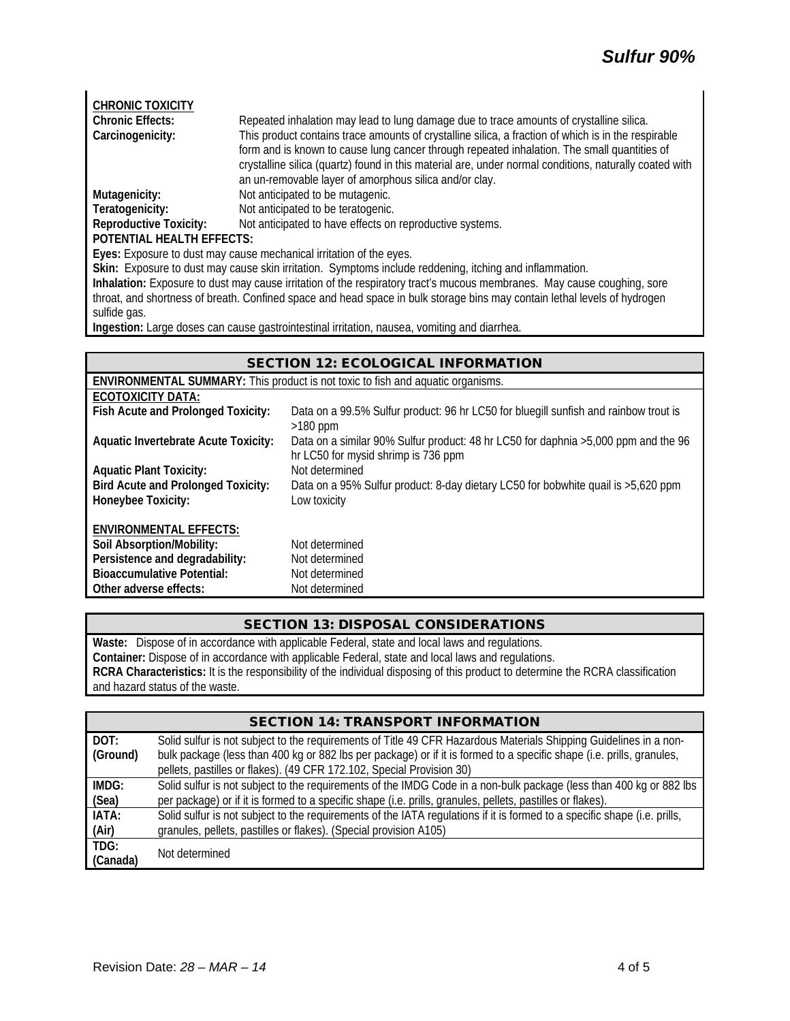| <b>CHRONIC TOXICITY</b>                                                                                                 |                                                                                                        |  |  |
|-------------------------------------------------------------------------------------------------------------------------|--------------------------------------------------------------------------------------------------------|--|--|
| <b>Chronic Effects:</b>                                                                                                 | Repeated inhalation may lead to lung damage due to trace amounts of crystalline silica.                |  |  |
| Carcinogenicity:                                                                                                        | This product contains trace amounts of crystalline silica, a fraction of which is in the respirable    |  |  |
|                                                                                                                         | form and is known to cause lung cancer through repeated inhalation. The small quantities of            |  |  |
|                                                                                                                         | crystalline silica (quartz) found in this material are, under normal conditions, naturally coated with |  |  |
|                                                                                                                         | an un-removable layer of amorphous silica and/or clay.                                                 |  |  |
| Mutagenicity:                                                                                                           | Not anticipated to be mutagenic.                                                                       |  |  |
| Teratogenicity:                                                                                                         | Not anticipated to be teratogenic.                                                                     |  |  |
| <b>Reproductive Toxicity:</b>                                                                                           | Not anticipated to have effects on reproductive systems.                                               |  |  |
| <b>POTENTIAL HEALTH EFFECTS:</b>                                                                                        |                                                                                                        |  |  |
| Eyes: Exposure to dust may cause mechanical irritation of the eyes.                                                     |                                                                                                        |  |  |
| Skin: Exposure to dust may cause skin irritation. Symptoms include reddening, itching and inflammation.                 |                                                                                                        |  |  |
| Inhalation: Exposure to dust may cause irritation of the respiratory tract's mucous membranes. May cause coughing, sore |                                                                                                        |  |  |

throat, and shortness of breath. Confined space and head space in bulk storage bins may contain lethal levels of hydrogen sulfide gas.

**Ingestion:** Large doses can cause gastrointestinal irritation, nausea, vomiting and diarrhea.

| <b>SECTION 12: ECOLOGICAL INFORMATION</b>                                              |                                                                                                                           |  |  |
|----------------------------------------------------------------------------------------|---------------------------------------------------------------------------------------------------------------------------|--|--|
| <b>ENVIRONMENTAL SUMMARY:</b> This product is not toxic to fish and aquatic organisms. |                                                                                                                           |  |  |
| ECOTOXICITY DATA:                                                                      |                                                                                                                           |  |  |
| Fish Acute and Prolonged Toxicity:                                                     | Data on a 99.5% Sulfur product: 96 hr LC50 for bluegill sunfish and rainbow trout is<br>$>180$ ppm                        |  |  |
| <b>Aquatic Invertebrate Acute Toxicity:</b>                                            | Data on a similar 90% Sulfur product: 48 hr LC50 for daphnia >5,000 ppm and the 96<br>hr LC50 for mysid shrimp is 736 ppm |  |  |
| <b>Aquatic Plant Toxicity:</b>                                                         | Not determined                                                                                                            |  |  |
| <b>Bird Acute and Prolonged Toxicity:</b>                                              | Data on a 95% Sulfur product: 8-day dietary LC50 for bobwhite quail is >5,620 ppm                                         |  |  |
| Honeybee Toxicity:                                                                     | Low toxicity                                                                                                              |  |  |
| <b>ENVIRONMENTAL EFFECTS:</b>                                                          |                                                                                                                           |  |  |
| Soil Absorption/Mobility:                                                              | Not determined                                                                                                            |  |  |
| Persistence and degradability:                                                         | Not determined                                                                                                            |  |  |
| <b>Bioaccumulative Potential:</b>                                                      | Not determined                                                                                                            |  |  |
| Other adverse effects:                                                                 | Not determined                                                                                                            |  |  |

# SECTION 13: DISPOSAL CONSIDERATIONS

**Waste:** Dispose of in accordance with applicable Federal, state and local laws and regulations. **Container:** Dispose of in accordance with applicable Federal, state and local laws and regulations. **RCRA Characteristics:** It is the responsibility of the individual disposing of this product to determine the RCRA classification and hazard status of the waste.

| <b>SECTION 14: TRANSPORT INFORMATION</b> |                                                                                                                           |  |  |
|------------------------------------------|---------------------------------------------------------------------------------------------------------------------------|--|--|
| DOT:                                     | Solid sulfur is not subject to the requirements of Title 49 CFR Hazardous Materials Shipping Guidelines in a non-         |  |  |
| (Ground)                                 | bulk package (less than 400 kg or 882 lbs per package) or if it is formed to a specific shape (i.e. prills, granules,     |  |  |
|                                          | pellets, pastilles or flakes). (49 CFR 172.102, Special Provision 30)                                                     |  |  |
| IMDG:                                    | Solid sulfur is not subject to the requirements of the IMDG Code in a non-bulk package (less than 400 kg or 882 lbs       |  |  |
| (Sea)                                    | per package) or if it is formed to a specific shape (i.e. prills, granules, pellets, pastilles or flakes).                |  |  |
| IATA:                                    | Solid sulfur is not subject to the requirements of the IATA regulations if it is formed to a specific shape (i.e. prills, |  |  |
| (Air)                                    | granules, pellets, pastilles or flakes). (Special provision A105)                                                         |  |  |
| TDG:                                     | Not determined                                                                                                            |  |  |
| (Canada)                                 |                                                                                                                           |  |  |